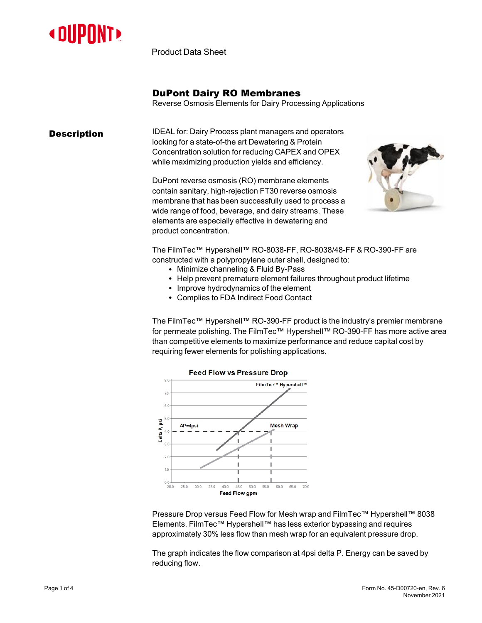

Product Data Sheet

### DuPont Dairy RO Membranes

Reverse Osmosis Elements for Dairy Processing Applications

**Description IDEAL for: Dairy Process plant managers and operators** looking for a state-of-the art Dewatering & Protein Concentration solution for reducing CAPEX and OPEX while maximizing production yields and efficiency.

> DuPont reverse osmosis (RO) membrane elements contain sanitary, high-rejection FT30 reverse osmosis membrane that has been successfully used to process a wide range of food, beverage, and dairy streams. These elements are especially effective in dewatering and product concentration.



The FilmTec™ Hypershell™ RO-8038-FF, RO-8038/48-FF & RO-390-FF are constructed with a polypropylene outer shell, designed to:

- Minimize channeling & Fluid By-Pass
- Help prevent premature element failures throughout product lifetime
- Improve hydrodynamics of the element
- Complies to FDA Indirect Food Contact

The FilmTec™ Hypershell™ RO-390-FF product is the industry's premier membrane for permeate polishing. The FilmTec™ Hypershell™ RO-390-FF has more active area than competitive elements to maximize performance and reduce capital cost by requiring fewer elements for polishing applications.



Pressure Drop versus Feed Flow for Mesh wrap and FilmTec™ Hypershell™ 8038 Elements. FilmTec™ Hypershell™ has less exterior bypassing and requires approximately 30% less flow than mesh wrap for an equivalent pressure drop.

The graph indicates the flow comparison at 4psi delta P. Energy can be saved by reducing flow.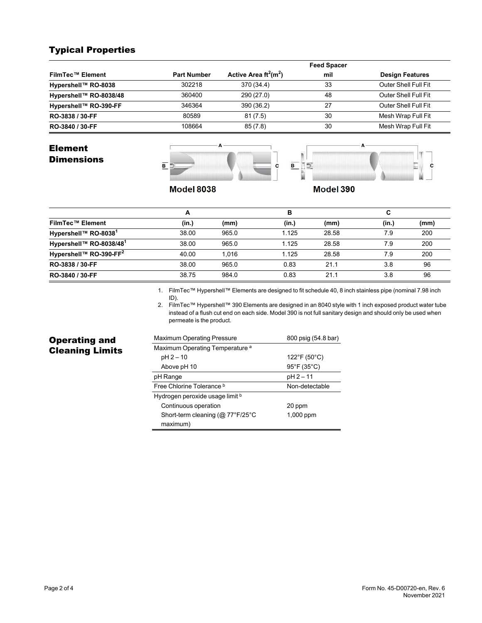# Typical Properties

|                         |                    |                                      | <b>Feed Spacer</b> |                        |
|-------------------------|--------------------|--------------------------------------|--------------------|------------------------|
| <b>FilmTec™ Element</b> | <b>Part Number</b> | Active Area $ft^2$ (m <sup>2</sup> ) | mil                | <b>Design Features</b> |
| Hypershell™ RO-8038     | 302218             | 370 (34.4)                           | 33                 | Outer Shell Full Fit   |
| Hypershell™ RO-8038/48  | 360400             | 290 (27.0)                           | 48                 | Outer Shell Full Fit   |
| Hypershell™ RO-390-FF   | 346364             | 390 (36.2)                           | 27                 | Outer Shell Full Fit   |
| RO-3838 / 30-FF         | 80589              | 81(7.5)                              | 30                 | Mesh Wrap Full Fit     |
| RO-3840 / 30-FF         | 108664             | 85(7.8)                              | 30                 | Mesh Wrap Full Fit     |

#### Element **Dimensions**





**Model 8038** 

Model 390

|                                    | А     |       | в     |       |       |      |
|------------------------------------|-------|-------|-------|-------|-------|------|
| <b>FilmTec™ Element</b>            | (in.) | (mm)  | (in.) | (mm)  | (in.) | (mm) |
| Hypershell™ RO-8038 <sup>1</sup>   | 38.00 | 965.0 | 1.125 | 28.58 | 7.9   | 200  |
| Hypershell™ RO-8038/481            | 38.00 | 965.0 | 1.125 | 28.58 | 7.9   | 200  |
| Hypershell™ RO-390-FF <sup>2</sup> | 40.00 | 1.016 | 1.125 | 28.58 | 7.9   | 200  |
| RO-3838 / 30-FF                    | 38.00 | 965.0 | 0.83  | 21.1  | 3.8   | 96   |
| RO-3840 / 30-FF                    | 38.75 | 984.0 | 0.83  | 21.1  | 3.8   | 96   |

1. FilmTec™ Hypershell™ Elements are designed to fit schedule 40, 8 inch stainless pipe (nominal 7.98 inch ID).

2. FilmTec™ Hypershell™ 390 Elements are designed in an 8040 style with 1 inch exposed product water tube instead of a flush cut end on each side. Model 390 is not full sanitary design and should only be used when permeate is the product.

# Operating and Cleaning Limits

| <b>Maximum Operating Pressure</b>          | 800 psig (54.8 bar) |
|--------------------------------------------|---------------------|
| Maximum Operating Temperature <sup>a</sup> |                     |
| pH 2 - 10                                  | 122°F (50°C)        |
| Above pH 10                                | 95°F (35°C)         |
| pH Range                                   | pH 2 - 11           |
| Free Chlorine Tolerance b                  | Non-detectable      |
| Hydrogen peroxide usage limit b            |                     |
| Continuous operation                       | 20 ppm              |
| Short-term cleaning ( $@$ 77°F/25°C        | 1,000 ppm           |
| maximum)                                   |                     |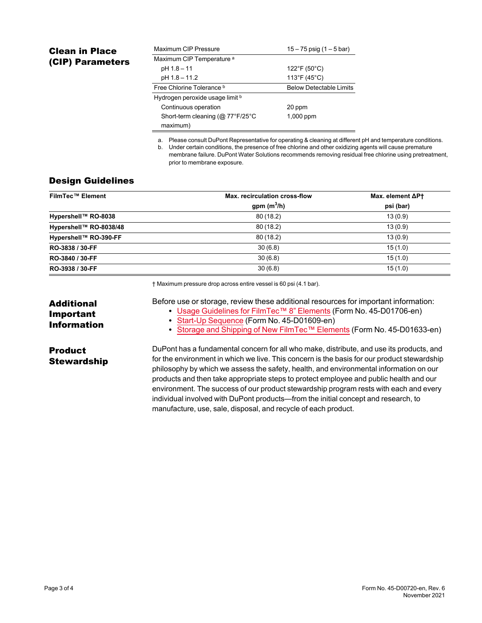## Clean in Place (CIP) Parameters

| Maximum CIP Pressure                 | $15 - 75$ psig (1 – 5 bar)     |  |
|--------------------------------------|--------------------------------|--|
| Maximum CIP Temperature <sup>a</sup> |                                |  |
| pH 1.8 - 11                          | 122°F (50°C)                   |  |
| pH 1.8 - 11.2                        | $113^{\circ}F(45^{\circ}C)$    |  |
| Free Chlorine Tolerance b            | <b>Below Detectable Limits</b> |  |
| Hydrogen peroxide usage limit b      |                                |  |
| Continuous operation                 | 20 ppm                         |  |
| Short-term cleaning (@ 77°F/25°C     | $1,000$ ppm                    |  |
| maximum)                             |                                |  |

a. Please consult DuPont Representative for operating & cleaning at different pH and temperature conditions.

b. Under certain conditions, the presence of free chlorine and other oxidizing agents will cause premature membrane failure. DuPont Water Solutions recommends removing residual free chlorine using pretreatment, prior to membrane exposure.

#### Design Guidelines

| <b>FilmTec™ Element</b> | Max. recirculation cross-flow | Max. element $\Delta$ P† |
|-------------------------|-------------------------------|--------------------------|
|                         | gpm $(m^3/h)$                 | psi (bar)                |
| Hypershell™ RO-8038     | 80(18.2)                      | 13(0.9)                  |
| Hypershell™ RO-8038/48  | 80(18.2)                      | 13(0.9)                  |
| Hypershell™ RO-390-FF   | 80(18.2)                      | 13(0.9)                  |
| RO-3838 / 30-FF         | 30(6.8)                       | 15(1.0)                  |
| RO-3840 / 30-FF         | 30(6.8)                       | 15(1.0)                  |
| RO-3938 / 30-FF         | 30(6.8)                       | 15(1.0)                  |

† Maximum pressure drop across entire vessel is 60 psi (4.1 bar).

| <b>Additional</b><br><b>Important</b><br><b>Information</b> | Before use or storage, review these additional resources for important information:<br>• Usage Guidelines for FilmTec <sup>TM</sup> 8" Elements (Form No. 45-D01706-en)<br>• Start-Up Sequence (Form No. 45-D01609-en)<br>• Storage and Shipping of New FilmTec™ Elements (Form No. 45-D01633-en)                                                                                                                                                                    |
|-------------------------------------------------------------|----------------------------------------------------------------------------------------------------------------------------------------------------------------------------------------------------------------------------------------------------------------------------------------------------------------------------------------------------------------------------------------------------------------------------------------------------------------------|
| <b>Product</b><br><b>Stewardship</b>                        | DuPont has a fundamental concern for all who make, distribute, and use its products, and<br>for the environment in which we live. This concern is the basis for our product stewardship<br>philosophy by which we assess the safety, health, and environmental information on our<br>products and then take appropriate steps to protect employee and public health and our<br>environment. The success of our product stewardship program rests with each and every |

manufacture, use, sale, disposal, and recycle of each product.

individual involved with DuPont products—from the initial concept and research, to